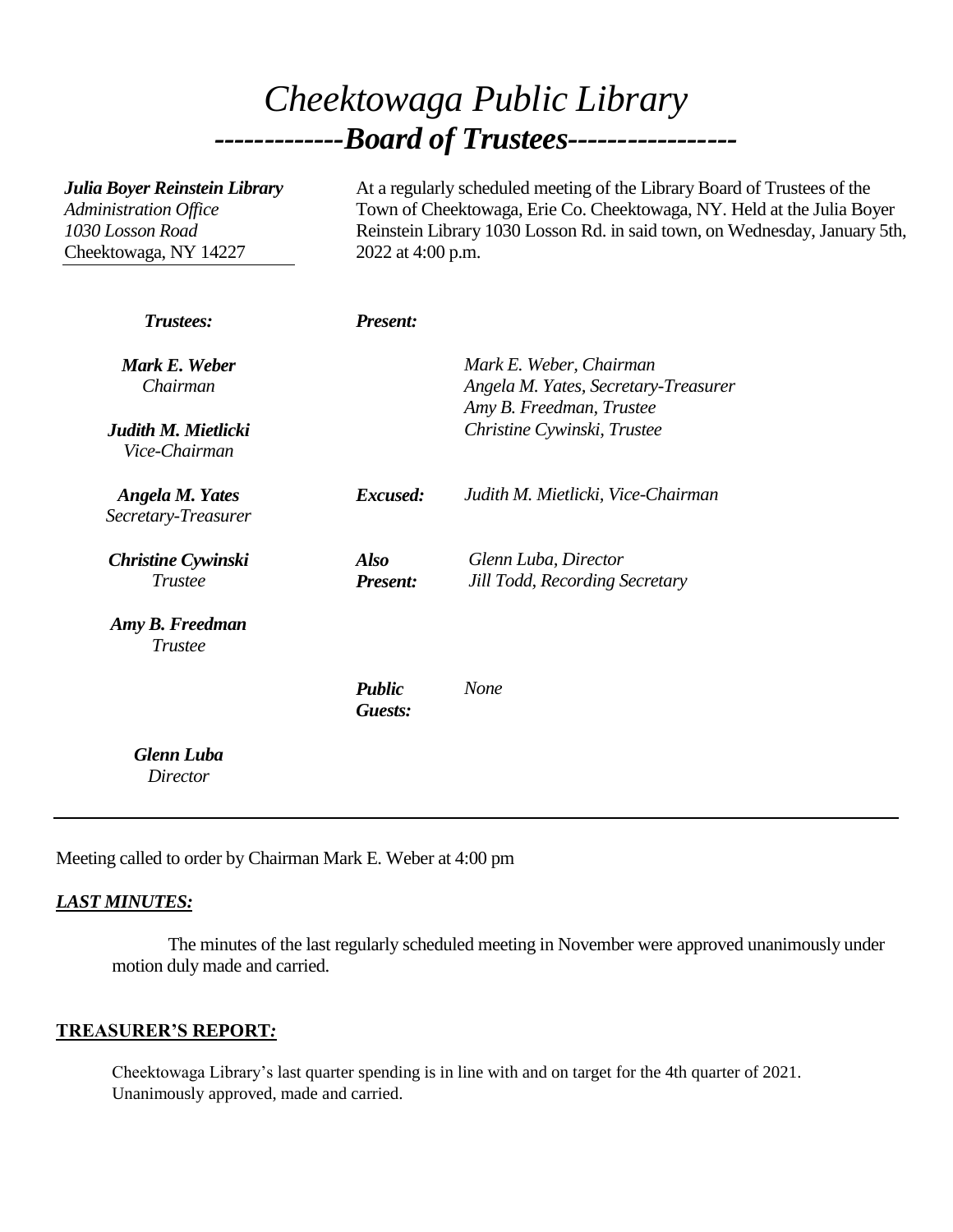# *Cheektowaga Public Library -------------Board of Trustees-----------------*

| Julia Boyer Reinstein Library<br>Administration Office<br>1030 Losson Road<br>Cheektowaga, NY 14227 | At a regularly scheduled meeting of the Library Board of Trustees of the<br>Town of Cheektowaga, Erie Co. Cheektowaga, NY. Held at the Julia Boyer<br>Reinstein Library 1030 Losson Rd. in said town, on Wednesday, January 5th,<br>2022 at 4:00 p.m. |                                                                                             |
|-----------------------------------------------------------------------------------------------------|-------------------------------------------------------------------------------------------------------------------------------------------------------------------------------------------------------------------------------------------------------|---------------------------------------------------------------------------------------------|
| <b>Trustees:</b>                                                                                    | <b>Present:</b>                                                                                                                                                                                                                                       |                                                                                             |
| Mark E. Weber<br>Chairman                                                                           |                                                                                                                                                                                                                                                       | Mark E. Weber, Chairman<br>Angela M. Yates, Secretary-Treasurer<br>Amy B. Freedman, Trustee |
| Judith M. Mietlicki<br>Vice-Chairman                                                                |                                                                                                                                                                                                                                                       | Christine Cywinski, Trustee                                                                 |
| <b>Angela M. Yates</b><br>Secretary-Treasurer                                                       | Excused:                                                                                                                                                                                                                                              | Judith M. Mietlicki, Vice-Chairman                                                          |
| <b>Christine Cywinski</b><br><b>Trustee</b>                                                         | <b>Also</b><br><b>Present:</b>                                                                                                                                                                                                                        | Glenn Luba, Director<br><b>Jill Todd, Recording Secretary</b>                               |
| Amy B. Freedman<br><b>Trustee</b>                                                                   |                                                                                                                                                                                                                                                       |                                                                                             |
|                                                                                                     | <b>Public</b><br>Guests:                                                                                                                                                                                                                              | <b>None</b>                                                                                 |
| <b>Glenn Luba</b><br>Director                                                                       |                                                                                                                                                                                                                                                       |                                                                                             |

Meeting called to order by Chairman Mark E. Weber at 4:00 pm

### *LAST MINUTES:*

The minutes of the last regularly scheduled meeting in November were approved unanimously under motion duly made and carried.

#### **TREASURER'S REPORT***:*

Cheektowaga Library's last quarter spending is in line with and on target for the 4th quarter of 2021. Unanimously approved, made and carried.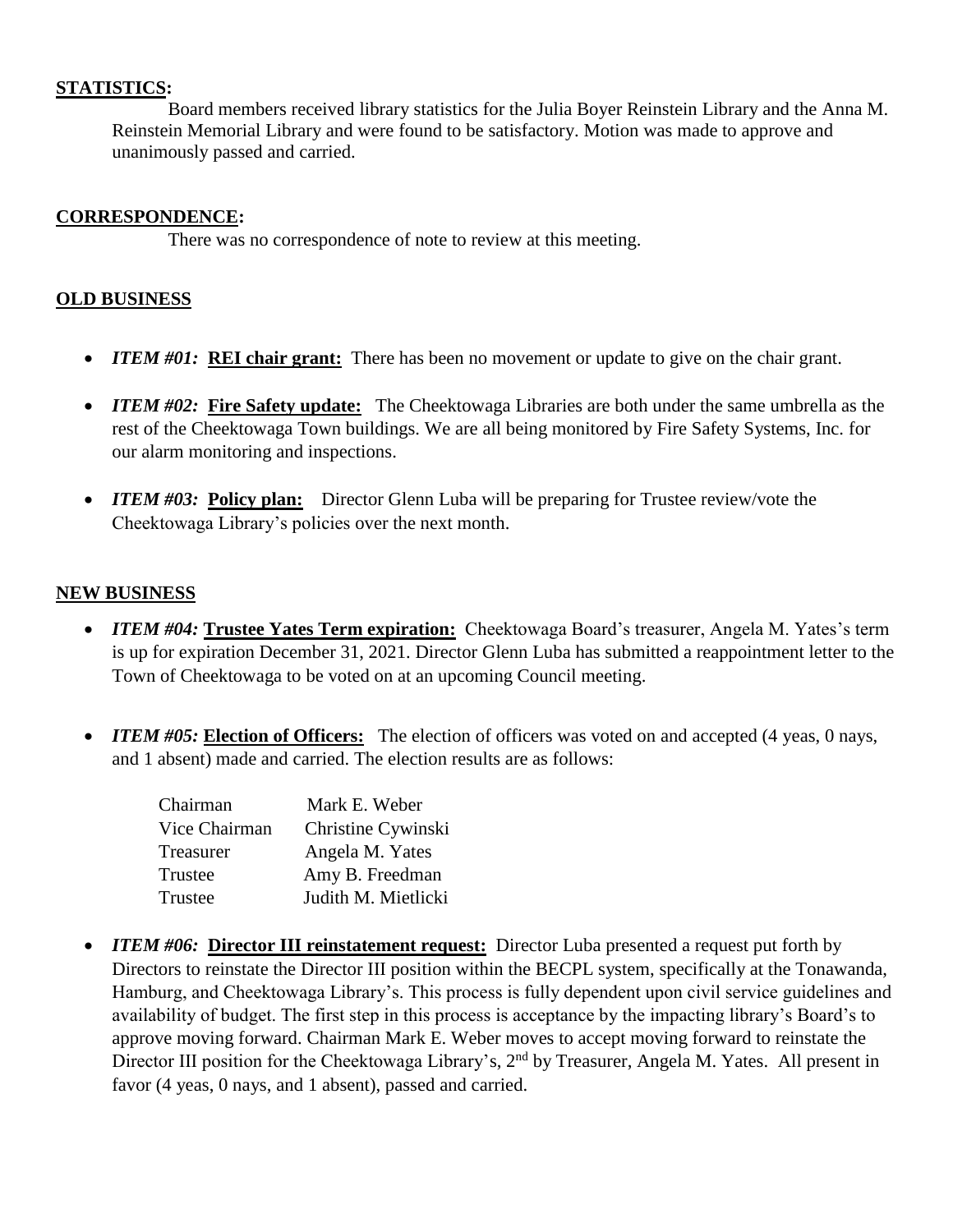#### **STATISTICS:**

Board members received library statistics for the Julia Boyer Reinstein Library and the Anna M. Reinstein Memorial Library and were found to be satisfactory. Motion was made to approve and unanimously passed and carried.

#### **CORRESPONDENCE:**

There was no correspondence of note to review at this meeting.

#### **OLD BUSINESS**

- *ITEM #01:* **REI chair grant:** There has been no movement or update to give on the chair grant.
- *ITEM #02:* Fire Safety update: The Cheektowaga Libraries are both under the same umbrella as the rest of the Cheektowaga Town buildings. We are all being monitored by Fire Safety Systems, Inc. for our alarm monitoring and inspections.
- *ITEM #03:* Policy plan: Director Glenn Luba will be preparing for Trustee review/vote the Cheektowaga Library's policies over the next month.

#### **NEW BUSINESS**

- *ITEM #04:* **Trustee Yates Term expiration:** Cheektowaga Board's treasurer, Angela M. Yates's term is up for expiration December 31, 2021. Director Glenn Luba has submitted a reappointment letter to the Town of Cheektowaga to be voted on at an upcoming Council meeting.
- *ITEM #05:* Election of Officers: The election of officers was voted on and accepted (4 yeas, 0 nays, and 1 absent) made and carried. The election results are as follows:

| Chairman      | Mark E. Weber       |
|---------------|---------------------|
| Vice Chairman | Christine Cywinski  |
| Treasurer     | Angela M. Yates     |
| Trustee       | Amy B. Freedman     |
| Trustee       | Judith M. Mietlicki |

• *ITEM #06:* **Director III reinstatement request:** Director Luba presented a request put forth by Directors to reinstate the Director III position within the BECPL system, specifically at the Tonawanda, Hamburg, and Cheektowaga Library's. This process is fully dependent upon civil service guidelines and availability of budget. The first step in this process is acceptance by the impacting library's Board's to approve moving forward. Chairman Mark E. Weber moves to accept moving forward to reinstate the Director III position for the Cheektowaga Library's, 2<sup>nd</sup> by Treasurer, Angela M. Yates. All present in favor (4 yeas, 0 nays, and 1 absent), passed and carried.